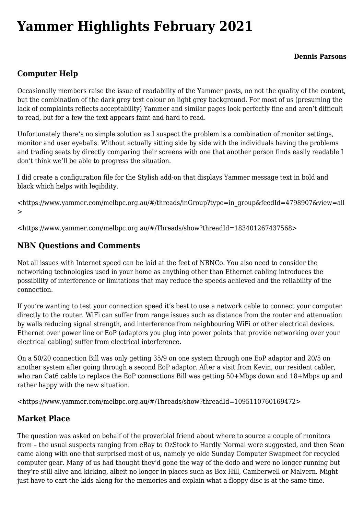# **[Yammer Highlights February 2021](https://www.melbpc.org.au/yammer-highlights-february-2021/)**

## **Computer Help**

Occasionally members raise the issue of readability of the Yammer posts, no not the quality of the content, but the combination of the dark grey text colour on light grey background. For most of us (presuming the lack of complaints reflects acceptability) Yammer and similar pages look perfectly fine and aren't difficult to read, but for a few the text appears faint and hard to read.

Unfortunately there's no simple solution as I suspect the problem is a combination of monitor settings, monitor and user eyeballs. Without actually sitting side by side with the individuals having the problems and trading seats by directly comparing their screens with one that another person finds easily readable I don't think we'll be able to progress the situation.

I did create a configuration file for the Stylish add-on that displays Yammer message text in bold and black which helps with legibility.

<[https://www.yammer.com/melbpc.org.au/#/threads/inGroup?type=in\\_group&feedId=4798907&view=all](https://www.yammer.com/melbpc.org.au/#/threads/inGroup?type=in_group&feedId=4798907&view=all) >

<[https://www.yammer.com/melbpc.org.au/#/Threads/show?threadId=183401267437568>](https://www.yammer.com/melbpc.org.au/#/Threads/show?threadId=183401267437568)

#### **NBN Questions and Comments**

Not all issues with Internet speed can be laid at the feet of NBNCo. You also need to consider the networking technologies used in your home as anything other than Ethernet cabling introduces the possibility of interference or limitations that may reduce the speeds achieved and the reliability of the connection.

If you're wanting to test your connection speed it's best to use a network cable to connect your computer directly to the router. WiFi can suffer from range issues such as distance from the router and attenuation by walls reducing signal strength, and interference from neighbouring WiFi or other electrical devices. Ethernet over power line or EoP (adaptors you plug into power points that provide networking over your electrical cabling) suffer from electrical interference.

On a 50/20 connection Bill was only getting 35/9 on one system through one EoP adaptor and 20/5 on another system after going through a second EoP adaptor. After a visit from Kevin, our resident cabler, who ran Cat6 cable to replace the EoP connections Bill was getting 50+Mbps down and 18+Mbps up and rather happy with the new situation.

<<https://www.yammer.com/melbpc.org.au/#/Threads/show?threadId=1095110760169472>>

### **Market Place**

The question was asked on behalf of the proverbial friend about where to source a couple of monitors from – the usual suspects ranging from eBay to OzStock to Hardly Normal were suggested, and then Sean came along with one that surprised most of us, namely ye olde Sunday Computer Swapmeet for recycled computer gear. Many of us had thought they'd gone the way of the dodo and were no longer running but they're still alive and kicking, albeit no longer in places such as Box Hill, Camberwell or Malvern. Might just have to cart the kids along for the memories and explain what a floppy disc is at the same time.